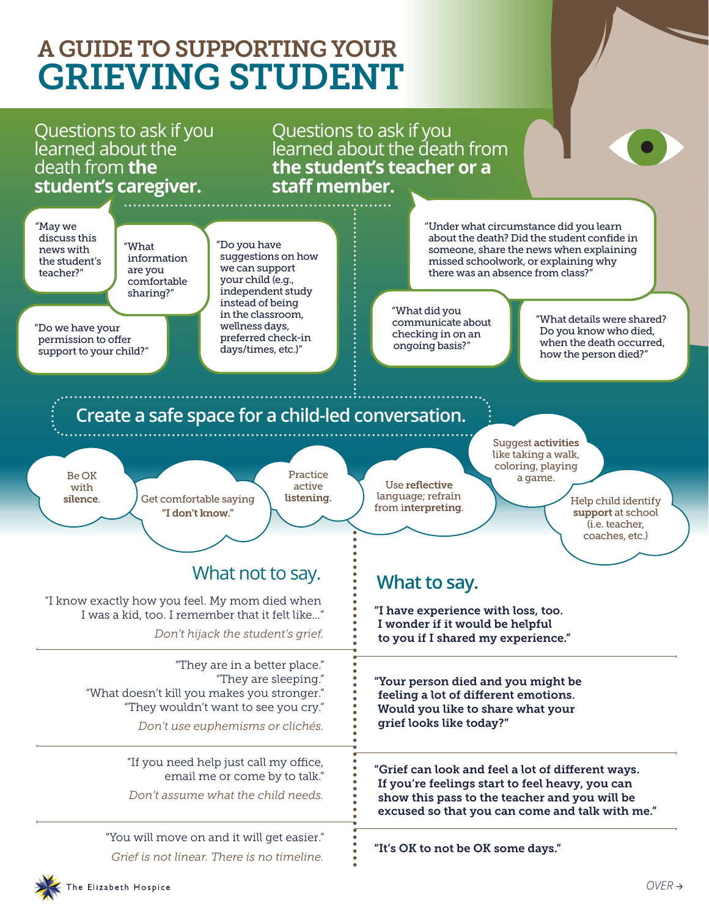## A GUIDE TO SUPPORTING YOUR GRIEVING STUDENT

## Questions to ask if you learned about the death from **the student's caregiver.**

Questions to ask if you learned about the death from **the student's teacher or a staff member.**

"May we discuss this news with the student's teacher?"

"What information are you comfortable sharing?"

"Do we have your permission to offer support to your child?" "Do you have suggestions on how we can support your child (e.g., independent study instead of being in the classroom, wellness days, preferred check-in days/times, etc.)"

"Under what circumstance did you learn about the death? Did the student confide in someone, share the news when explaining missed schoolwork, or explaining why there was an absence from class?"

"What did you communicate about checking in on an ongoing basis?"

"What details were shared? Do you know who died, when the death occurred. how the person died?"

## **Create a safe space for a child-led conversation.**

Be OK with silence.



active listening.

Practice

Use reflective language; refrain Suggest activities like taking a walk, coloring, playing a game.

from interpreting. support at school (i.e. teacher, coaches, etc.)

## What not to say.  $\vdots$  **What to say.**

"I know exactly how you feel. My mom died when I was a kid, too. I remember that it felt like…" *Don't hijack the student's grief.*

> "They are in a better place." "They are sleeping." "What doesn't kill you makes you stronger." "They wouldn't want to see you cry."

> > *Don't use euphemisms or clichés.*

"If you need help just call my office, email me or come by to talk."

*Don't assume what the child needs.*

"You will move on and it will get easier." *Grief is not linear. There is no timeline.*

"I have experience with loss, too. I wonder if it would be helpful to you if I shared my experience."

"Your person died and you might be feeling a lot of different emotions. Would you like to share what your grief looks like today?"

"Grief can look and feel a lot of different ways. If you're feelings start to feel heavy, you can show this pass to the teacher and you will be excused so that you can come and talk with me."

"It's OK to not be OK some days."